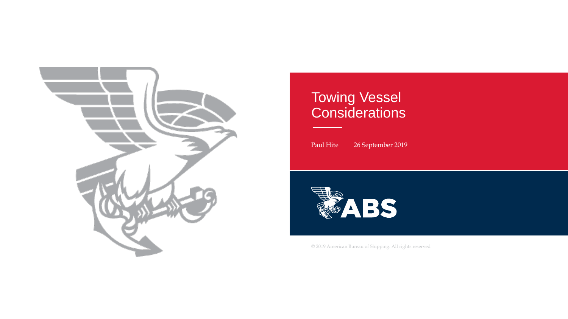

#### Towing Vessel **Considerations**

Paul Hite 26 September 2019



© 2019 American Bureau of Shipping. All rights reserved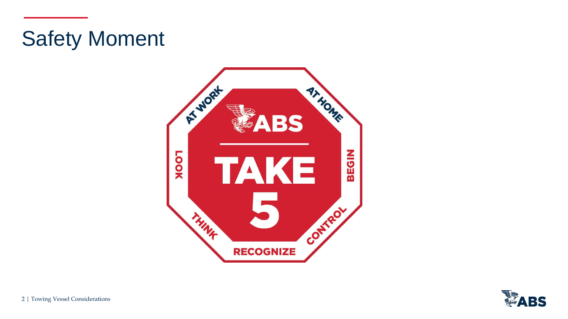## Safety Moment



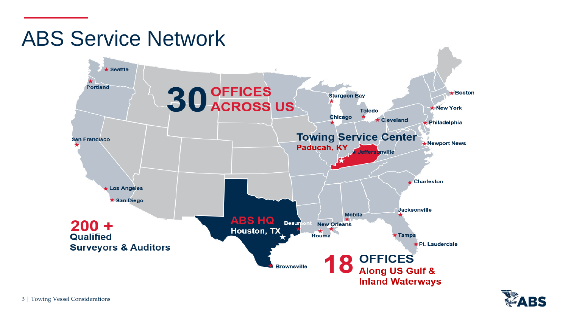#### ABS Service Network



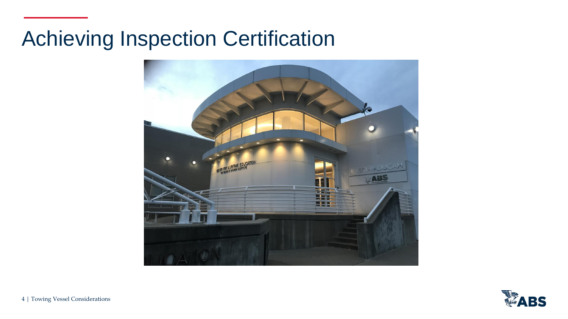#### Achieving Inspection Certification



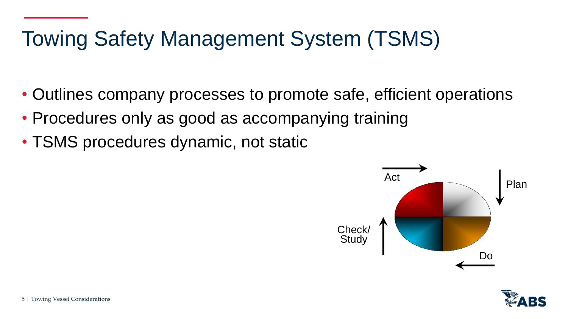# Towing Safety Management System (TSMS)

- Outlines company processes to promote safe, efficient operations
- Procedures only as good as accompanying training
- TSMS procedures dynamic, not static



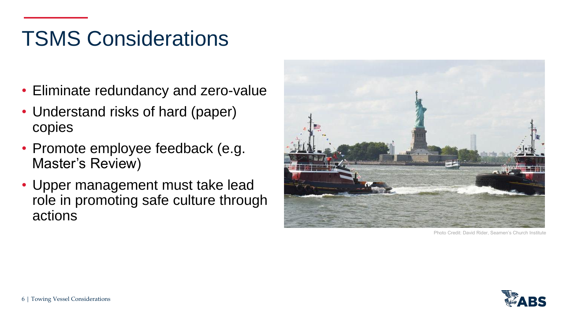## TSMS Considerations

- Eliminate redundancy and zero-value
- Understand risks of hard (paper) copies
- Promote employee feedback (e.g. Master's Review)
- Upper management must take lead role in promoting safe culture through actions



Photo Credit: David Rider, Seamen's Church

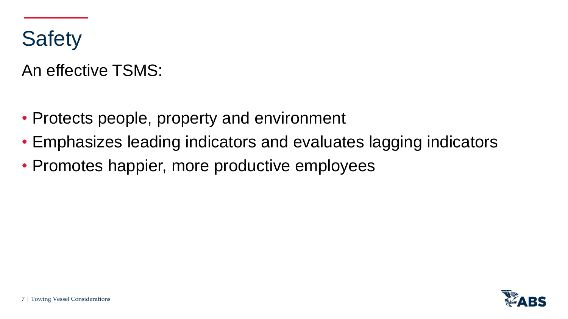

An effective TSMS:

- Protects people, property and environment
- Emphasizes leading indicators and evaluates lagging indicators
- Promotes happier, more productive employees

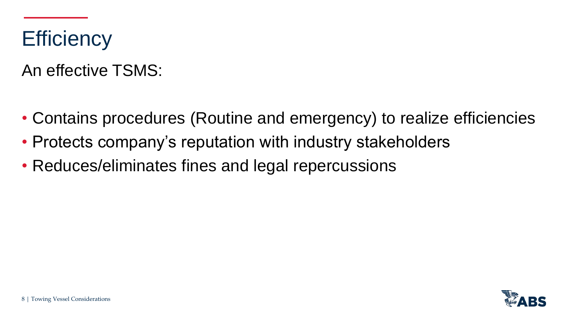#### **Efficiency**

An effective TSMS:

- Contains procedures (Routine and emergency) to realize efficiencies
- Protects company's reputation with industry stakeholders
- Reduces/eliminates fines and legal repercussions

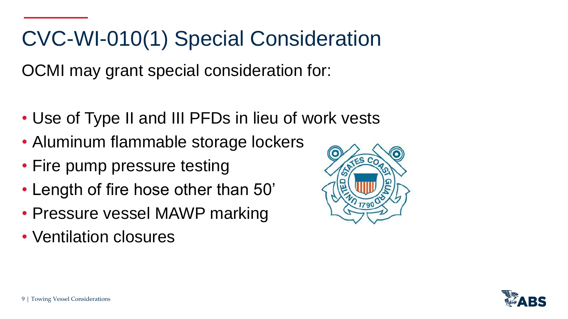## CVC-WI-010(1) Special Consideration

OCMI may grant special consideration for:

- Use of Type II and III PFDs in lieu of work vests
- Aluminum flammable storage lockers
- Fire pump pressure testing
- Length of fire hose other than 50'
- Pressure vessel MAWP marking
- Ventilation closures



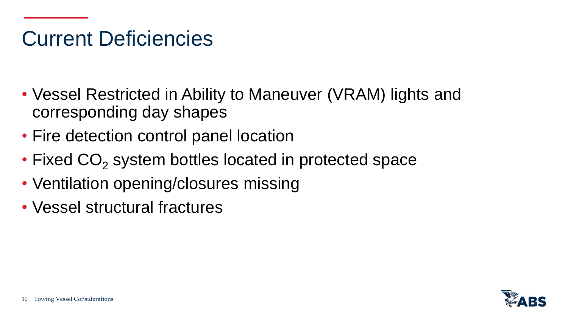#### Current Deficiencies

- Vessel Restricted in Ability to Maneuver (VRAM) lights and corresponding day shapes
- Fire detection control panel location
- Fixed  $CO<sub>2</sub>$  system bottles located in protected space
- Ventilation opening/closures missing
- Vessel structural fractures

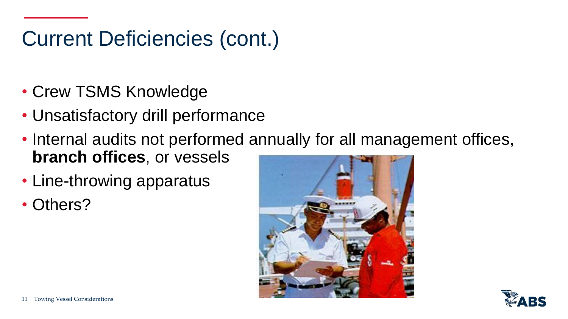## Current Deficiencies (cont.)

- Crew TSMS Knowledge
- Unsatisfactory drill performance
- Internal audits not performed annually for all management offices, **branch offices**, or vessels
- Line-throwing apparatus
- Others?